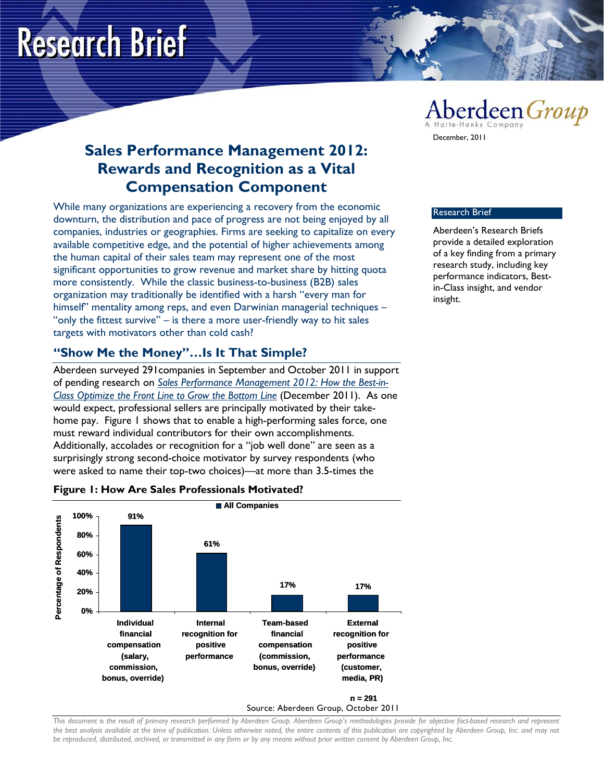# **Research Brief**

## **Sales Performance Management 2012: Rewards and Recognition as a Vital Compensation Component**

While many organizations are experiencing a recovery from the economic downturn, the distribution and pace of progress are not being enjoyed by all companies, industries or geographies. Firms are seeking to capitalize on every available competitive edge, and the potential of higher achievements among the human capital of their sales team may represent one of the most significant opportunities to grow revenue and market share by hitting quota more consistently. While the classic business-to-business (B2B) sales organization may traditionally be identified with a harsh "every man for himself" mentality among reps, and even Darwinian managerial techniques -"only the fittest survive" – is there a more user-friendly way to hit sales targets with motivators other than cold cash?

### **"Show Me the Money"…Is It That Simple?**

Aberdeen surveyed 291companies in September and October 2011 in support of pending research on *[Sales Performance Management 2012: How the Best-in-](http://www.aberdeen.com/aberdeen-library/7347/RP-sales-performance-management.aspx)[Class Optimize the Front Line to Grow the Bottom Line](http://www.aberdeen.com/aberdeen-library/7347/RP-sales-performance-management.aspx)* (December 2011). As one would expect, professional sellers are principally motivated by their takehome pay. Figure 1 shows that to enable a high-performing sales force, one must reward individual contributors for their own accomplishments. Additionally, accolades or recognition for a "job well done" are seen as a surprisingly strong second-choice motivator by survey respondents (who were asked to name their top-two choices)—at more than 3.5-times the



#### **Figure 1: How Are Sales Professionals Motivated?**

## Aberdeen Group

December, 2011

#### Research Brief

Aberdeen's Research Briefs provide a detailed exploration of a key finding from a primary research study, including key performance indicators, Bestin-Class insight, and vendor insight.

*This document is the result of primary research performed by Aberdeen Group. Aberdeen Group's methodologies provide for objective fact-based research and represent the best analysis available at the time of publication. Unless otherwise noted, the entire contents of this publication are copyrighted by Aberdeen Group, Inc. and may not be reproduced, distributed, archived, or transmitted in any form or by any means without prior written consent by Aberdeen Group, Inc.*

Source: Aberdeen Group, October 2011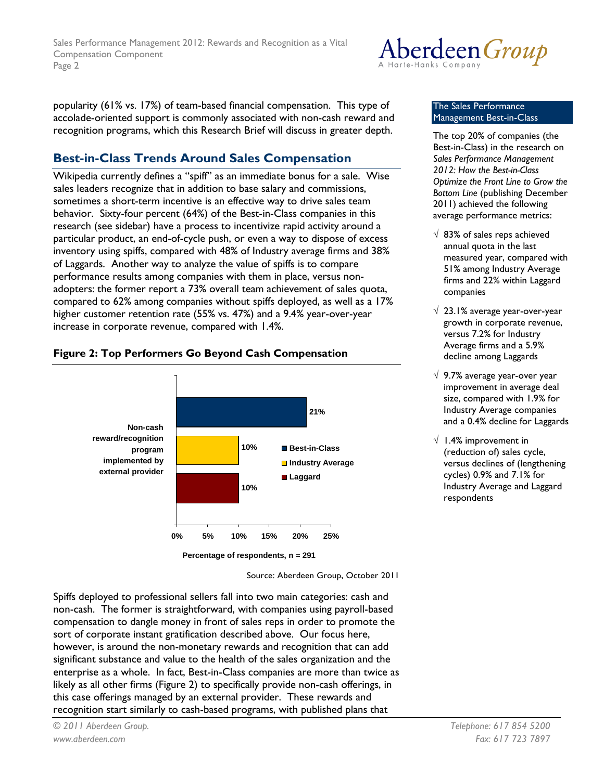

popularity (61% vs. 17%) of team-based financial compensation. This type of accolade-oriented support is commonly associated with non-cash reward and recognition programs, which this Research Brief will discuss in greater depth.

## **Best-in-Class Trends Around Sales Compensation**

Wikipedia currently defines a "spiff" as an immediate bonus for a sale. Wise sales leaders recognize that in addition to base salary and commissions, sometimes a short-term incentive is an effective way to drive sales team behavior. Sixty-four percent (64%) of the Best-in-Class companies in this research (see sidebar) have a process to incentivize rapid activity around a particular product, an end-of-cycle push, or even a way to dispose of excess inventory using spiffs, compared with 48% of Industry average firms and 38% of Laggards. Another way to analyze the value of spiffs is to compare performance results among companies with them in place, versus nonadopters: the former report a 73% overall team achievement of sales quota, compared to 62% among companies without spiffs deployed, as well as a 17% higher customer retention rate (55% vs. 47%) and a 9.4% year-over-year increase in corporate revenue, compared with 1.4%.

#### **Figure 2: Top Performers Go Beyond Cash Compensation**



Source: Aberdeen Group, October 2011

Spiffs deployed to professional sellers fall into two main categories: cash and non-cash. The former is straightforward, with companies using payroll-based compensation to dangle money in front of sales reps in order to promote the sort of corporate instant gratification described above. Our focus here, however, is around the non-monetary rewards and recognition that can add significant substance and value to the health of the sales organization and the enterprise as a whole. In fact, Best-in-Class companies are more than twice as likely as all other firms (Figure 2) to specifically provide non-cash offerings, in this case offerings managed by an external provider. These rewards and recognition start similarly to cash-based programs, with published plans that

#### The Sales Performance Management Best-in-Class

- The top 20% of companies (the Best-in-Class) in the research on *Sales Performance Management 2012: How the Best-in-Class Optimize the Front Line to Grow the Bottom Line* (publishing December 2011) achieved the following average performance metrics:
- $\sqrt{83\%}$  of sales reps achieved annual quota in the last measured year, compared with 51% among Industry Average firms and 22% within Laggard companies
- √ 23.1% average year-over-year growth in corporate revenue, versus 7.2% for Industry Average firms and a 5.9% decline among Laggards
- √ 9.7% average year-over year improvement in average deal size, compared with 1.9% for Industry Average companies and a 0.4% decline for Laggards
- $\sqrt{1.4\%}$  improvement in (reduction of) sales cycle, versus declines of (lengthening cycles) 0.9% and 7.1% for Industry Average and Laggard respondents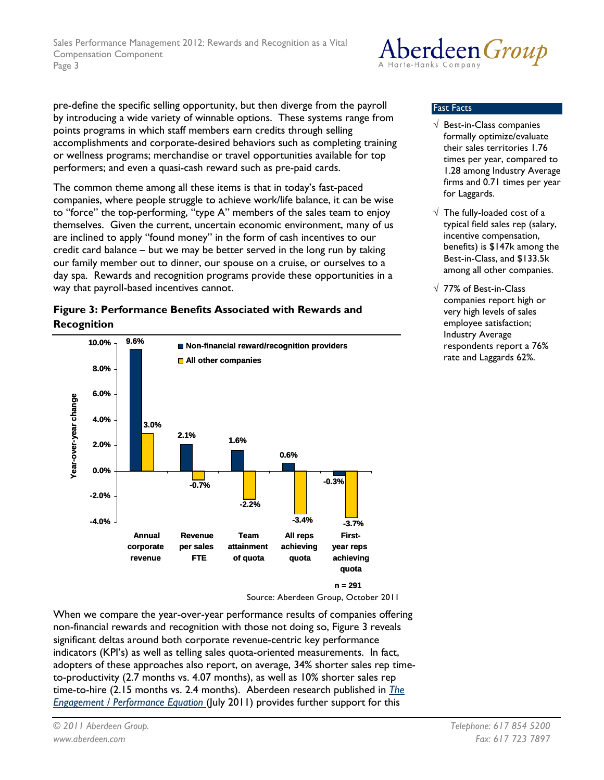

pre-define the specific selling opportunity, but then diverge from the payroll by introducing a wide variety of winnable options. These systems range from points programs in which staff members earn credits through selling accomplishments and corporate-desired behaviors such as completing training or wellness programs; merchandise or travel opportunities available for top performers; and even a quasi-cash reward such as pre-paid cards.

The common theme among all these items is that in today's fast-paced companies, where people struggle to achieve work/life balance, it can be wise to "force" the top-performing, "type A" members of the sales team to enjoy themselves. Given the current, uncertain economic environment, many of us are inclined to apply "found money" in the form of cash incentives to our credit card balance – but we may be better served in the long run by taking our family member out to dinner, our spouse on a cruise, or ourselves to a day spa. Rewards and recognition programs provide these opportunities in a way that payroll-based incentives cannot.





Source: Aberdeen Group, October 2011

When we compare the year-over-year performance results of companies offering non-financial rewards and recognition with those not doing so, Figure 3 reveals significant deltas around both corporate revenue-centric key performance indicators (KPI's) as well as telling sales quota-oriented measurements. In fact, adopters of these approaches also report, on average, 34% shorter sales rep timeto-productivity (2.7 months vs. 4.07 months), as well as 10% shorter sales rep time-to-hire (2.15 months vs. 2.4 months). Aberdeen research published in *[The](http://www.aberdeen.com/aberdeen-library/7016/RA-employee-engagement-performance.aspx)  [Engagement / Performance Equation](http://www.aberdeen.com/aberdeen-library/7016/RA-employee-engagement-performance.aspx)* (July 2011) provides further support for this

#### Fast Facts

- √ Best-in-Class companies formally optimize/evaluate their sales territories 1.76 times per year, compared to 1.28 among Industry Average firms and 0.71 times per year for Laggards.
- $\sqrt{ }$  The fully-loaded cost of a typical field sales rep (salary, incentive compensation, benefits) is \$147k among the Best-in-Class, and \$133.5k among all other companies.
- √ 77% of Best-in-Class companies report high or very high levels of sales employee satisfaction; Industry Average respondents report a 76% rate and Laggards 62%.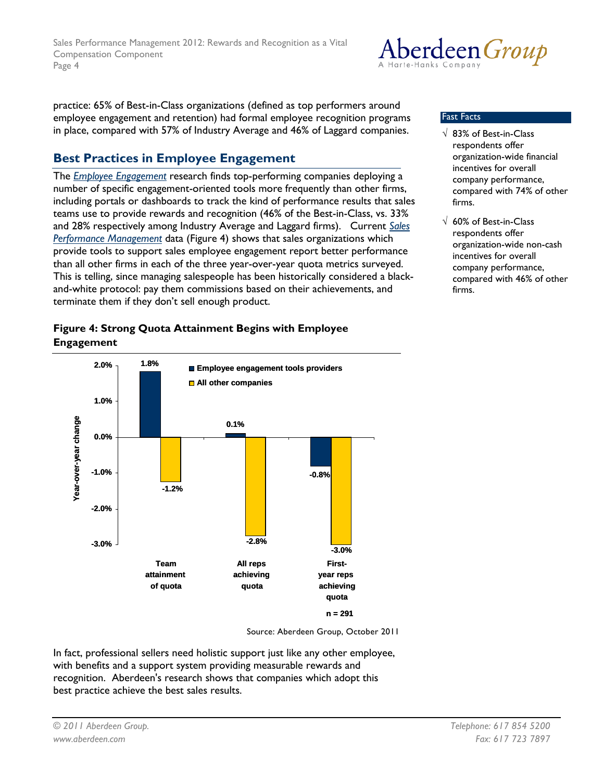

practice: 65% of Best-in-Class organizations (defined as top performers around employee engagement and retention) had formal employee recognition programs in place, compared with 57% of Industry Average and 46% of Laggard companies.

## **Best Practices in Employee Engagement**

The *[Employee Engagement](http://www.aberdeen.com/aberdeen-library/7016/RA-employee-engagement-performance.aspx)* research finds top-performing companies deploying a number of specific engagement-oriented tools more frequently than other firms, including portals or dashboards to track the kind of performance results that sales teams use to provide rewards and recognition (46% of the Best-in-Class, vs. 33% and 28% respectively among Industry Average and Laggard firms). Current *[Sales](http://www.aberdeen.com/aberdeen-library/7347/RP-sales-performance-management.aspx)  [Performance Management](http://www.aberdeen.com/aberdeen-library/7347/RP-sales-performance-management.aspx)* data (Figure 4) shows that sales organizations which provide tools to support sales employee engagement report better performance than all other firms in each of the three year-over-year quota metrics surveyed. This is telling, since managing salespeople has been historically considered a blackand-white protocol: pay them commissions based on their achievements, and terminate them if they don't sell enough product.

#### Fast Facts

- √ 83% of Best-in-Class respondents offer organization-wide financial incentives for overall company performance, compared with 74% of other firms.
- √ 60% of Best-in-Class respondents offer organization-wide non-cash incentives for overall company performance, compared with 46% of other firms.

#### **Figure 4: Strong Quota Attainment Begins with Employee Engagement**



Source: Aberdeen Group, October 2011

In fact, professional sellers need holistic support just like any other employee, with benefits and a support system providing measurable rewards and recognition. Aberdeen's research shows that companies which adopt this best practice achieve the best sales results.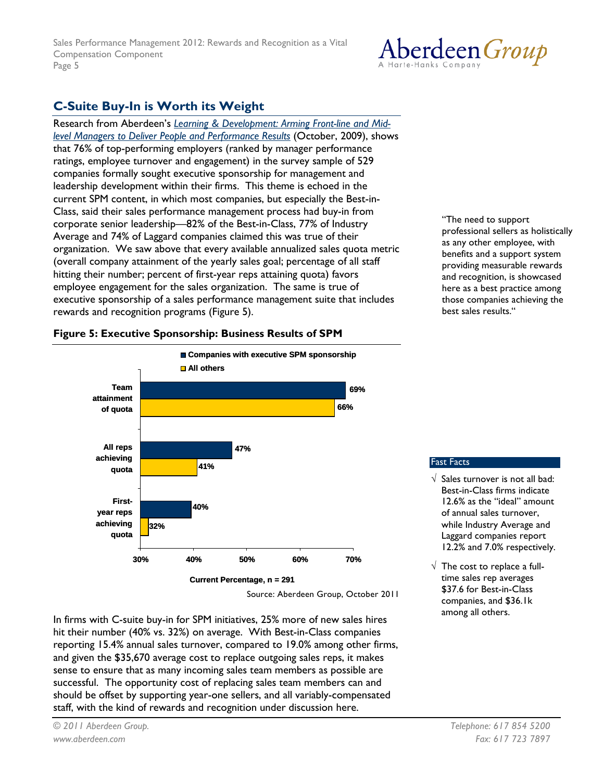## Aberdeen *Group*

## **C-Suite Buy-In is Worth its Weight**

Research from Aberdeen's *[Learning & Development: Arming Front-line and Mid](http://www.aberdeen.com/Aberdeen-Library/6146/RA-learning-development-performance.aspx)[level Managers to Deliver People and Performance Results](http://www.aberdeen.com/Aberdeen-Library/6146/RA-learning-development-performance.aspx)* (October, 2009), shows that 76% of top-performing employers (ranked by manager performance ratings, employee turnover and engagement) in the survey sample of 529 companies formally sought executive sponsorship for management and leadership development within their firms. This theme is echoed in the current SPM content, in which most companies, but especially the Best-in-Class, said their sales performance management process had buy-in from corporate senior leadership—82% of the Best-in-Class, 77% of Industry Average and 74% of Laggard companies claimed this was true of their organization. We saw above that every available annualized sales quota metric (overall company attainment of the yearly sales goal; percentage of all staff hitting their number; percent of first-year reps attaining quota) favors employee engagement for the sales organization. The same is true of executive sponsorship of a sales performance management suite that includes rewards and recognition programs (Figure 5).

"The need to support professional sellers as holistically as any other employee, with benefits and a support system providing measurable rewards and recognition, is showcased here as a best practice among those companies achieving the best sales results."

Fast Facts

 $\sqrt{\ }$  Sales turnover is not all bad: Best-in-Class firms indicate 12.6% as the "ideal" amount of annual sales turnover, while Industry Average and Laggard companies report 12.2% and 7.0% respectively.

 $\sqrt{ }$  The cost to replace a fulltime sales rep averages \$37.6 for Best-in-Class companies, and \$36.1k among all others.



Source: Aberdeen Group, October 2011

In firms with C-suite buy-in for SPM initiatives, 25% more of new sales hires hit their number (40% vs. 32%) on average. With Best-in-Class companies reporting 15.4% annual sales turnover, compared to 19.0% among other firms, and given the \$35,670 average cost to replace outgoing sales reps, it makes sense to ensure that as many incoming sales team members as possible are successful. The opportunity cost of replacing sales team members can and should be offset by supporting year-one sellers, and all variably-compensated staff, with the kind of rewards and recognition under discussion here.

## **Figure 5: Executive Sponsorship: Business Results of SPM**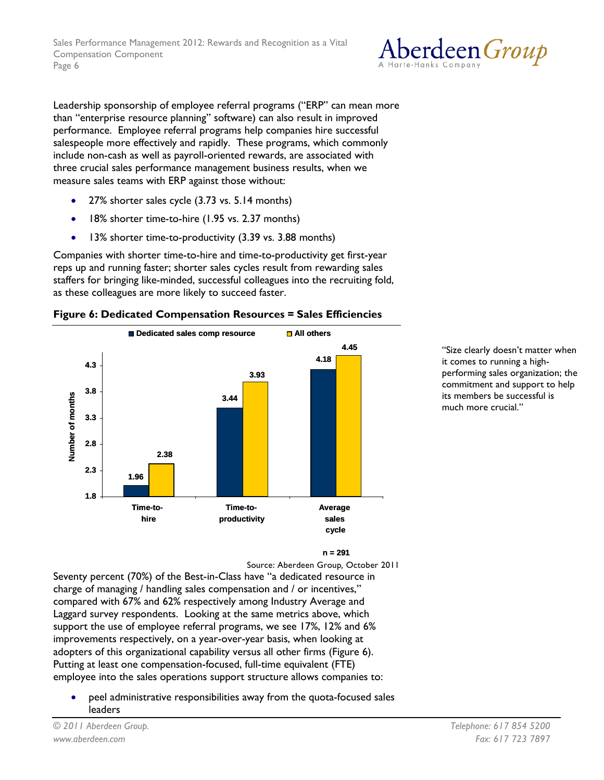

Leadership sponsorship of employee referral programs ("ERP" can mean more than "enterprise resource planning" software) can also result in improved performance. Employee referral programs help companies hire successful salespeople more effectively and rapidly. These programs, which commonly include non-cash as well as payroll-oriented rewards, are associated with three crucial sales performance management business results, when we measure sales teams with ERP against those without:

- 27% shorter sales cycle (3.73 vs. 5.14 months)
- 18% shorter time-to-hire (1.95 vs. 2.37 months)
- 13% shorter time-to-productivity (3.39 vs. 3.88 months)

Companies with shorter time-to-hire and time-to-productivity get first-year reps up and running faster; shorter sales cycles result from rewarding sales staffers for bringing like-minded, successful colleagues into the recruiting fold, as these colleagues are more likely to succeed faster.





"Size clearly doesn't matter when it comes to running a highperforming sales organization; the commitment and support to help its members be successful is much more crucial."

#### **n = 291**

Source: Aberdeen Group*,* October 2011

Seventy percent (70%) of the Best-in-Class have "a dedicated resource in charge of managing / handling sales compensation and / or incentives," compared with 67% and 62% respectively among Industry Average and Laggard survey respondents. Looking at the same metrics above, which support the use of employee referral programs, we see 17%, 12% and 6% improvements respectively, on a year-over-year basis, when looking at adopters of this organizational capability versus all other firms (Figure 6). Putting at least one compensation-focused, full-time equivalent (FTE) employee into the sales operations support structure allows companies to:

• peel administrative responsibilities away from the quota-focused sales leaders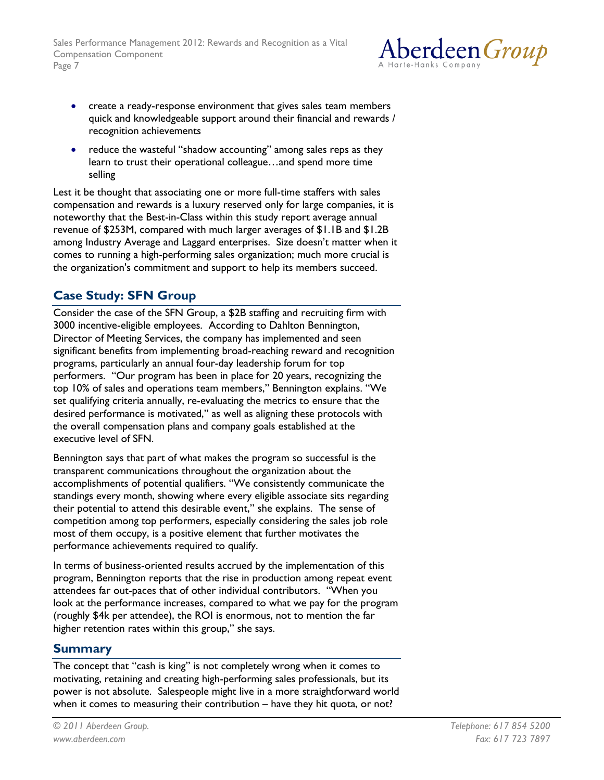

- create a ready-response environment that gives sales team members quick and knowledgeable support around their financial and rewards / recognition achievements
- reduce the wasteful "shadow accounting" among sales reps as they learn to trust their operational colleague…and spend more time selling

Lest it be thought that associating one or more full-time staffers with sales compensation and rewards is a luxury reserved only for large companies, it is noteworthy that the Best-in-Class within this study report average annual revenue of \$253M, compared with much larger averages of \$1.1B and \$1.2B among Industry Average and Laggard enterprises. Size doesn't matter when it comes to running a high-performing sales organization; much more crucial is the organization's commitment and support to help its members succeed.

## **Case Study: SFN Group**

Consider the case of the SFN Group, a \$2B staffing and recruiting firm with 3000 incentive-eligible employees. According to Dahlton Bennington, Director of Meeting Services, the company has implemented and seen significant benefits from implementing broad-reaching reward and recognition programs, particularly an annual four-day leadership forum for top performers. "Our program has been in place for 20 years, recognizing the top 10% of sales and operations team members," Bennington explains. "We set qualifying criteria annually, re-evaluating the metrics to ensure that the desired performance is motivated," as well as aligning these protocols with the overall compensation plans and company goals established at the executive level of SFN.

Bennington says that part of what makes the program so successful is the transparent communications throughout the organization about the accomplishments of potential qualifiers. "We consistently communicate the standings every month, showing where every eligible associate sits regarding their potential to attend this desirable event," she explains. The sense of competition among top performers, especially considering the sales job role most of them occupy, is a positive element that further motivates the performance achievements required to qualify.

In terms of business-oriented results accrued by the implementation of this program, Bennington reports that the rise in production among repeat event attendees far out-paces that of other individual contributors. "When you look at the performance increases, compared to what we pay for the program (roughly \$4k per attendee), the ROI is enormous, not to mention the far higher retention rates within this group," she says.

### **Summary**

The concept that "cash is king" is not completely wrong when it comes to motivating, retaining and creating high-performing sales professionals, but its power is not absolute. Salespeople might live in a more straightforward world when it comes to measuring their contribution – have they hit quota, or not?